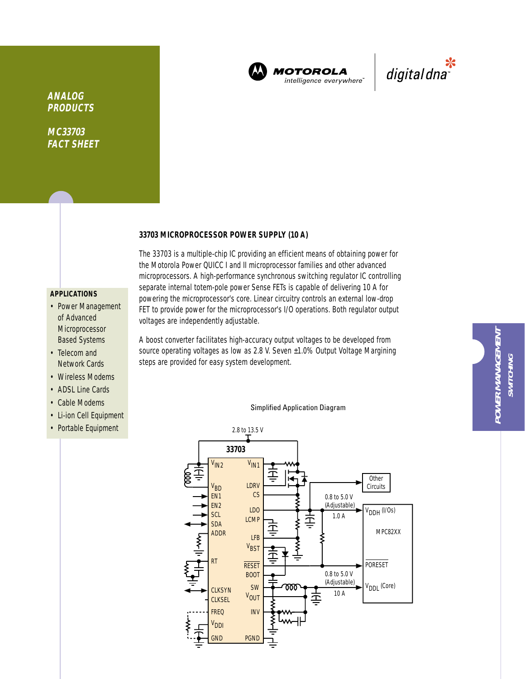

**MOTOROLA** intelligence everywhere<sup>®</sup>



## **ANALOG PRODUCTS**

**MC33703 FACT SHEET**

## **33703 MICROPROCESSOR POWER SUPPLY (10 A)**

## **APPLICATIONS**

- Power Management of Advanced Microprocessor Based Systems
- Telecom and Network Cards
- Wireless Modems
- ADSL Line Cards
- Cable Modems
- Li-ion Cell Equipment
- Portable Equipment

The 33703 is a multiple-chip IC providing an efficient means of obtaining power for the Motorola Power QUICC I and II microprocessor families and other advanced microprocessors. A high-performance synchronous switching regulator IC controlling separate internal totem-pole power Sense FETs is capable of delivering 10 A for powering the microprocessor's core. Linear circuitry controls an external low-drop FET to provide power for the microprocessor's I/O operations. Both regulator output voltages are independently adjustable.

A boost converter facilitates high-accuracy output voltages to be developed from source operating voltages as low as 2.8 V. Seven ±1.0% Output Voltage Margining steps are provided for easy system development.

### Simplified Application Diagram

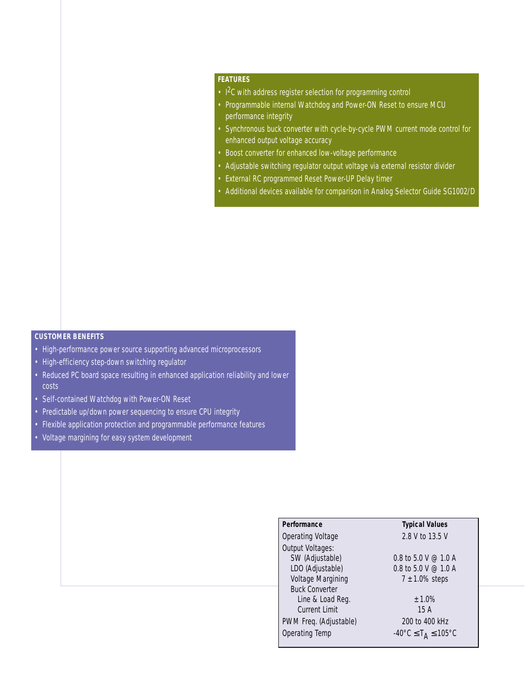## **FEATURES**

- 1<sup>2</sup>C with address register selection for programming control
- Programmable internal Watchdog and Power-ON Reset to ensure MCU performance integrity
- Synchronous buck converter with cycle-by-cycle PWM current mode control for enhanced output voltage accuracy
- Boost converter for enhanced low-voltage performance
- Adjustable switching regulator output voltage via external resistor divider
- External RC programmed Reset Power-UP Delay timer
- Additional devices available for comparison in Analog Selector Guide SG1002/D

## **CUSTOMER BENEFITS**

- High-performance power source supporting advanced microprocessors
- High-efficiency step-down switching regulator
- Reduced PC board space resulting in enhanced application reliability and lower costs
- Self-contained Watchdog with Power-ON Reset
- Predictable up/down power sequencing to ensure CPU integrity
- Flexible application protection and programmable performance features
- Voltage margining for easy system development

## **Performance Typical Values**

Output Voltages: SW (Adjustable) 0.8 to 5.0 V @ 1.0 A LDO (Adjustable)  $0.8$  to  $5.0$  V  $\odot$  1.0 A Voltage Margining  $7 \pm 1.0\%$  steps Buck Converter Line & Load Reg.  $\pm 1.0\%$ Current Limit 15 A PWM Freq. (Adjustable) 200 to 400 kHz Operating Temp  $-40^{\circ}$ C  $\leq T_A \leq 105^{\circ}$ C

Operating Voltage 2.8 V to 13.5 V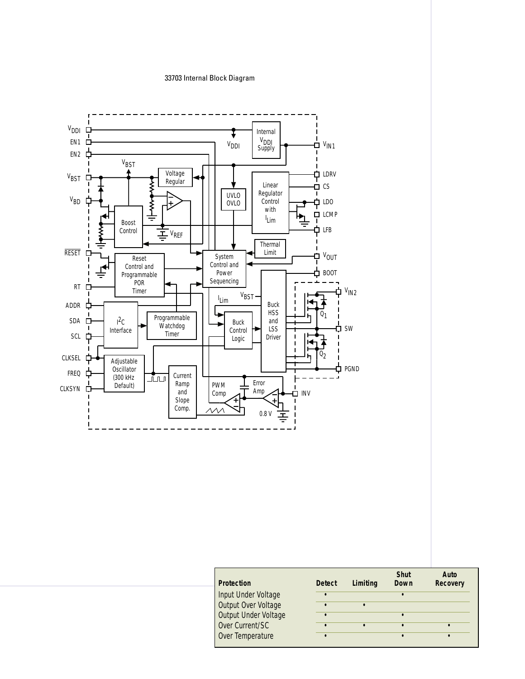## 33703 Internal Block Diagram



| <b>Protection</b>    | <b>Detect</b> | Limiting | <b>Shut</b><br>Down | Auto<br><b>Recovery</b> |
|----------------------|---------------|----------|---------------------|-------------------------|
| Input Under Voltage  | $\bullet$     |          |                     |                         |
| Output Over Voltage  |               |          |                     |                         |
| Output Under Voltage |               |          |                     |                         |
| Over Current/SC      |               |          |                     |                         |
| Over Temperature     |               |          |                     |                         |